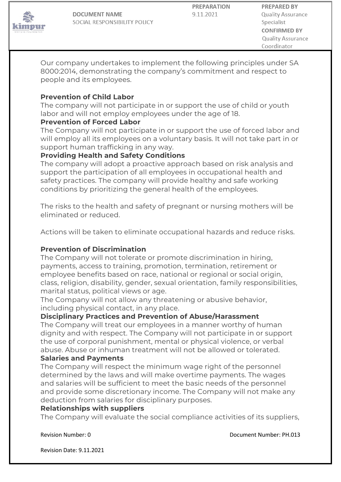

**DOCUMENT NAME** SOCIAL RESPONSIBILITY POLICY **PREPARATION** 9.11.2021

Our company undertakes to implement the following principles under SA 8000:2014, demonstrating the company's commitment and respect to people and its employees.

### **Prevention of Child Labor**

The company will not participate in or support the use of child or youth labor and will not employ employees under the age of 18.

### **Prevention of Forced Labor**

The Company will not participate in or support the use of forced labor and will employ all its employees on a voluntary basis. It will not take part in or support human trafficking in any way.

## **Providing Health and Safety Conditions**

The company will adopt a proactive approach based on risk analysis and support the participation of all employees in occupational health and safety practices. The company will provide healthy and safe working conditions by prioritizing the general health of the employees.

The risks to the health and safety of pregnant or nursing mothers will be eliminated or reduced.

Actions will be taken to eliminate occupational hazards and reduce risks.

# **Prevention of Discrimination**

The Company will not tolerate or promote discrimination in hiring, payments, access to training, promotion, termination, retirement or employee benefits based on race, national or regional or social origin, class, religion, disability, gender, sexual orientation, family responsibilities, marital status, political views or age.

The Company will not allow any threatening or abusive behavior, including physical contact, in any place.

### **Disciplinary Practices and Prevention of Abuse/Harassment**

The Company will treat our employees in a manner worthy of human dignity and with respect. The Company will not participate in or support the use of corporal punishment, mental or physical violence, or verbal abuse. Abuse or inhuman treatment will not be allowed or tolerated.

### **Salaries and Payments**

The Company will respect the minimum wage right of the personnel determined by the laws and will make overtime payments. The wages and salaries will be sufficient to meet the basic needs of the personnel and provide some discretionary income. The Company will not make any deduction from salaries for disciplinary purposes.

#### **Relationships with suppliers**

The Company will evaluate the social compliance activities of its suppliers,

Revision Number: 0 **Document Number: PH.013** 

Revision Date: 9.11.2021